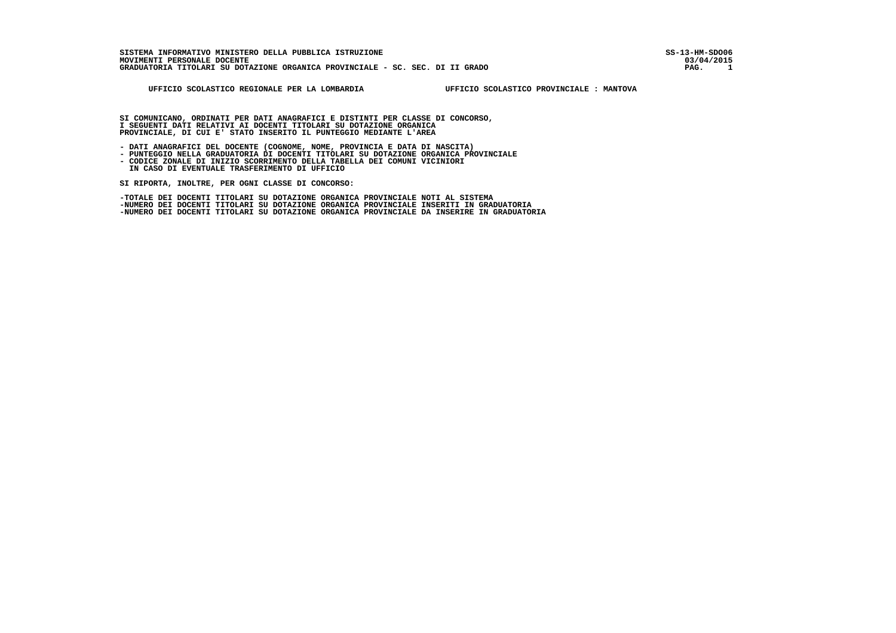03/04/2015  $\blacksquare$ 

 **UFFICIO SCOLASTICO REGIONALE PER LA LOMBARDIA UFFICIO SCOLASTICO PROVINCIALE : MANTOVA**

 **SI COMUNICANO, ORDINATI PER DATI ANAGRAFICI E DISTINTI PER CLASSE DI CONCORSO, I SEGUENTI DATI RELATIVI AI DOCENTI TITOLARI SU DOTAZIONE ORGANICA PROVINCIALE, DI CUI E' STATO INSERITO IL PUNTEGGIO MEDIANTE L'AREA**

 **- DATI ANAGRAFICI DEL DOCENTE (COGNOME, NOME, PROVINCIA E DATA DI NASCITA)**

- **PUNTEGGIO NELLA GRADUATORIA DI DOCENTI TITOLARI SU DOTAZIONE ORGANICA PROVINCIALE**
	- **CODICE ZONALE DI INIZIO SCORRIMENTO DELLA TABELLA DEI COMUNI VICINIORI IN CASO DI EVENTUALE TRASFERIMENTO DI UFFICIO**

 **SI RIPORTA, INOLTRE, PER OGNI CLASSE DI CONCORSO:**

 **-TOTALE DEI DOCENTI TITOLARI SU DOTAZIONE ORGANICA PROVINCIALE NOTI AL SISTEMA -NUMERO DEI DOCENTI TITOLARI SU DOTAZIONE ORGANICA PROVINCIALE INSERITI IN GRADUATORIA -NUMERO DEI DOCENTI TITOLARI SU DOTAZIONE ORGANICA PROVINCIALE DA INSERIRE IN GRADUATORIA**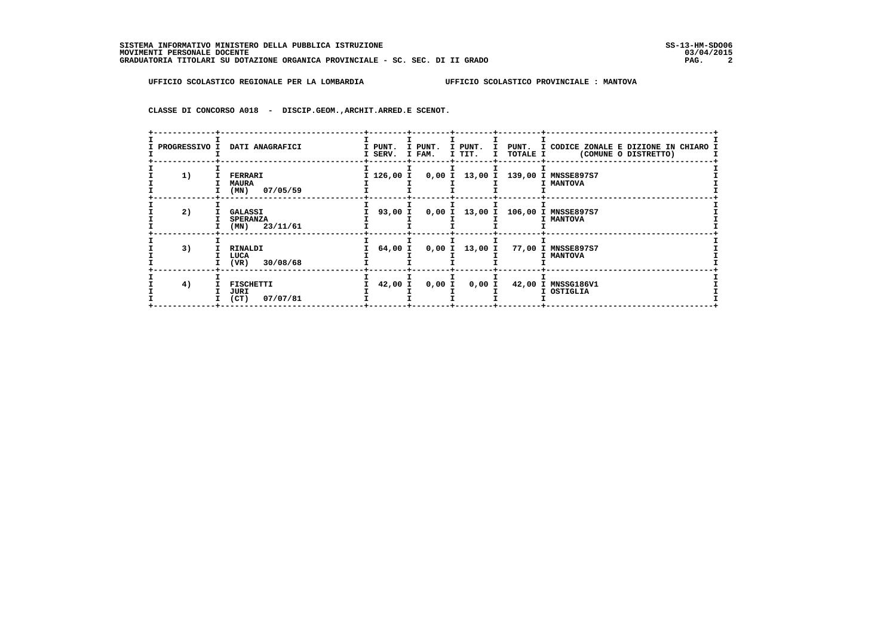**CLASSE DI CONCORSO A018 - DISCIP.GEOM.,ARCHIT.ARRED.E SCENOT.**

| PROGRESSIVO I | DATI ANAGRAFICI                                   | I PUNT.<br>I SERV. | I PUNT.<br>I FAM. | I TIT. | $\mathbf{I}$<br>TOTALE I | I PUNT. I PUNT. I CODICE ZONALE E DIZIONE IN CHIARO I<br>(COMUNE O DISTRETTO) |  |
|---------------|---------------------------------------------------|--------------------|-------------------|--------|--------------------------|-------------------------------------------------------------------------------|--|
| 1)            | <b>FERRARI</b><br><b>MAURA</b><br>$(MN)$ 07/05/59 |                    |                   |        |                          | I 126,00 I 0,00 I 13,00 I 139,00 I MNSSE897S7<br>I MANTOVA                    |  |
| 2)            | GALASSI<br><b>SPERANZA</b><br>$(MN)$ 23/11/61     | 93,00 I            |                   |        |                          | 0,00 I 13,00 I 106,00 I MNSSE897S7<br>I MANTOVA                               |  |
| 3)            | RINALDI<br>LUCA<br>$(VR)$ 30/08/68                | 64,00 I            |                   |        |                          | 0,00 I 13,00 I 77,00 I MNSSE897S7<br>I MANTOVA                                |  |
| 4)            | FISCHETTI<br>JURI<br>$(CT)$ 07/07/81              | 42,00 I            | 0,00 I            | 0,00 I |                          | 42,00 I MNSSG186V1<br>I OSTIGLIA                                              |  |
|               |                                                   |                    |                   |        |                          |                                                                               |  |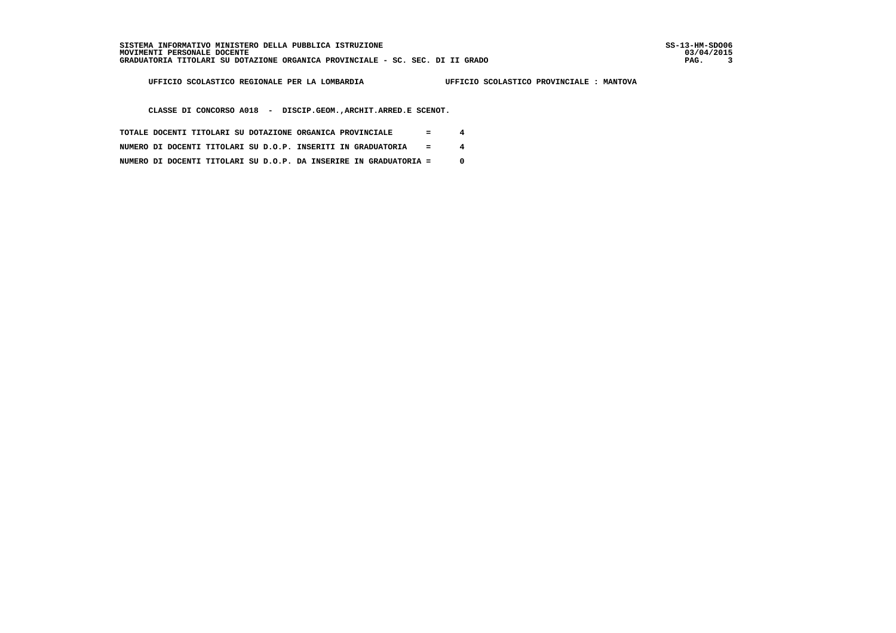**UFFICIO SCOLASTICO REGIONALE PER LA LOMBARDIA UFFICIO SCOLASTICO PROVINCIALE : MANTOVA**

 **CLASSE DI CONCORSO A018 - DISCIP.GEOM.,ARCHIT.ARRED.E SCENOT.**

- **TOTALE DOCENTI TITOLARI SU DOTAZIONE ORGANICA PROVINCIALE = 4**
- **NUMERO DI DOCENTI TITOLARI SU D.O.P. INSERITI IN GRADUATORIA = 4**
- **NUMERO DI DOCENTI TITOLARI SU D.O.P. DA INSERIRE IN GRADUATORIA = 0**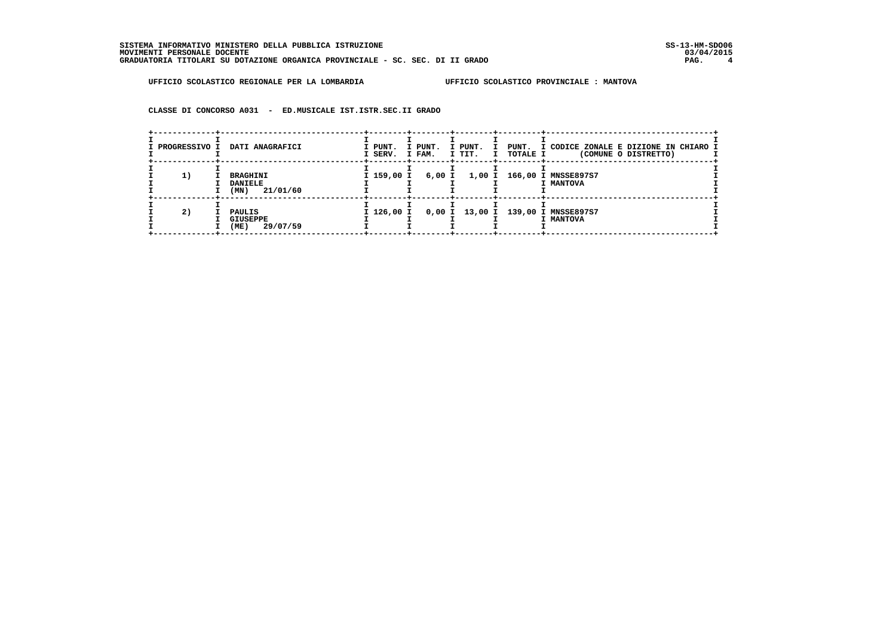**CLASSE DI CONCORSO A031 - ED.MUSICALE IST.ISTR.SEC.II GRADO**

| I PROGRESSIVO I | DATI ANAGRAFICI                                | I PUNT.<br>I SERV. | I PUNT.<br>I FAM. | I PUNT.<br>$\mathbf{I}$ | I TIT. I TOTALE I | PUNT. I CODICE ZONALE E DIZIONE IN CHIARO I<br>(COMUNE O DISTRETTO) |
|-----------------|------------------------------------------------|--------------------|-------------------|-------------------------|-------------------|---------------------------------------------------------------------|
| 1)              | BRAGHINI<br><b>DANIELE</b><br>21/01/60<br>(MN) | I 159,00 I         | 6,00 I            |                         |                   | 1,00 I 166,00 I MNSSE897S7<br>I MANTOVA                             |
| 2)              | PAULIS<br><b>GIUSEPPE</b><br>29/07/59<br>(ME)  | I 126,00 I         |                   |                         |                   | 0,00 I 13,00 I 139,00 I MNSSE897S7<br>I MANTOVA                     |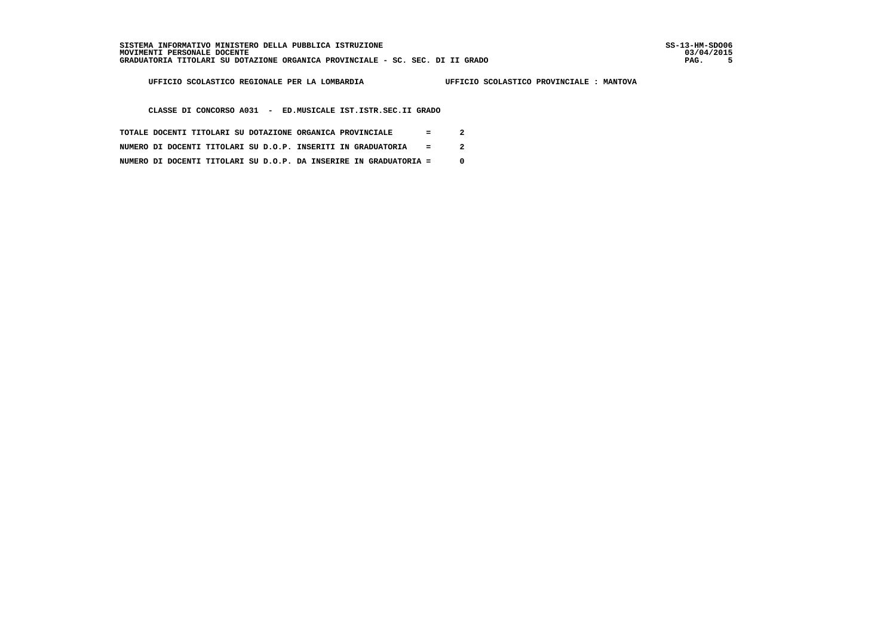i

 **UFFICIO SCOLASTICO REGIONALE PER LA LOMBARDIA UFFICIO SCOLASTICO PROVINCIALE : MANTOVA**

 **CLASSE DI CONCORSO A031 - ED.MUSICALE IST.ISTR.SEC.II GRADO**

- **TOTALE DOCENTI TITOLARI SU DOTAZIONE ORGANICA PROVINCIALE = 2**
- **NUMERO DI DOCENTI TITOLARI SU D.O.P. INSERITI IN GRADUATORIA = 2**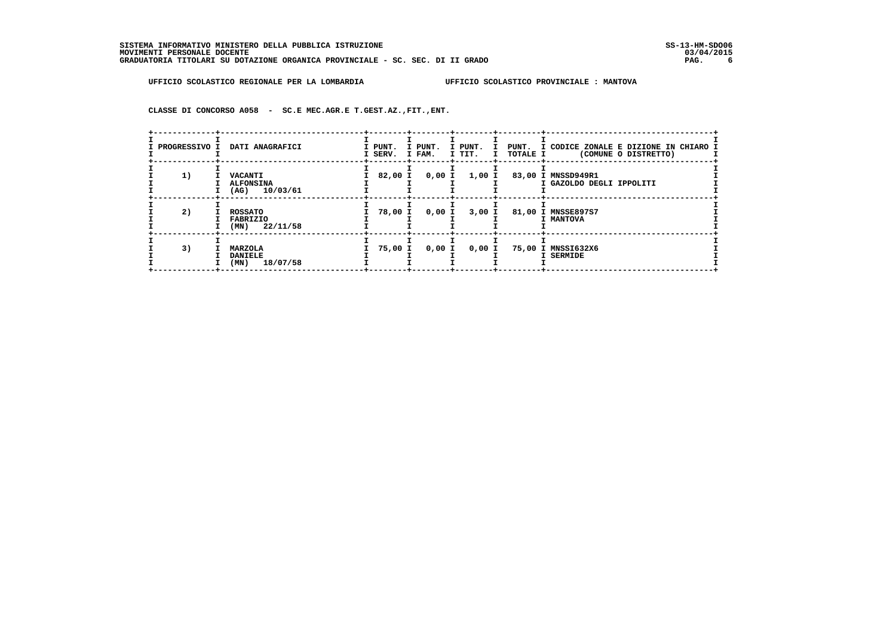**CLASSE DI CONCORSO A058 - SC.E MEC.AGR.E T.GEST.AZ.,FIT.,ENT.**

| PROGRESSIVO I | DATI ANAGRAFICI                                       | I PUNT.<br>I SERV. | I PUNT.<br>I FAM. | I PUNT.<br>I TIT. | I TOTALE I | I PUNT. I CODICE ZONALE E DIZIONE IN CHIARO I<br>(COMUNE O DISTRETTO) |
|---------------|-------------------------------------------------------|--------------------|-------------------|-------------------|------------|-----------------------------------------------------------------------|
| 1)            | <b>VACANTI</b><br><b>ALFONSINA</b><br>$(AG)$ 10/03/61 | 82,00 I            |                   | $0,00$ I $1,00$ I |            | 83,00 I MNSSD949R1<br>I GAZOLDO DEGLI IPPOLITI                        |
| 2)            | <b>ROSSATO</b><br>FABRIZIO<br>$(MN)$ 22/11/58         | 78,00 I            | 0,00 I            | 3,00 I            |            | 81,00 I MNSSE897S7<br>I MANTOVA                                       |
| 3)            | MARZOLA<br><b>DANIELE</b><br>18/07/58<br>(MN)         | 75,00 I            | 0,00 I            | 0,00 I            |            | 75,00 I MNSSI632X6<br>I SERMIDE                                       |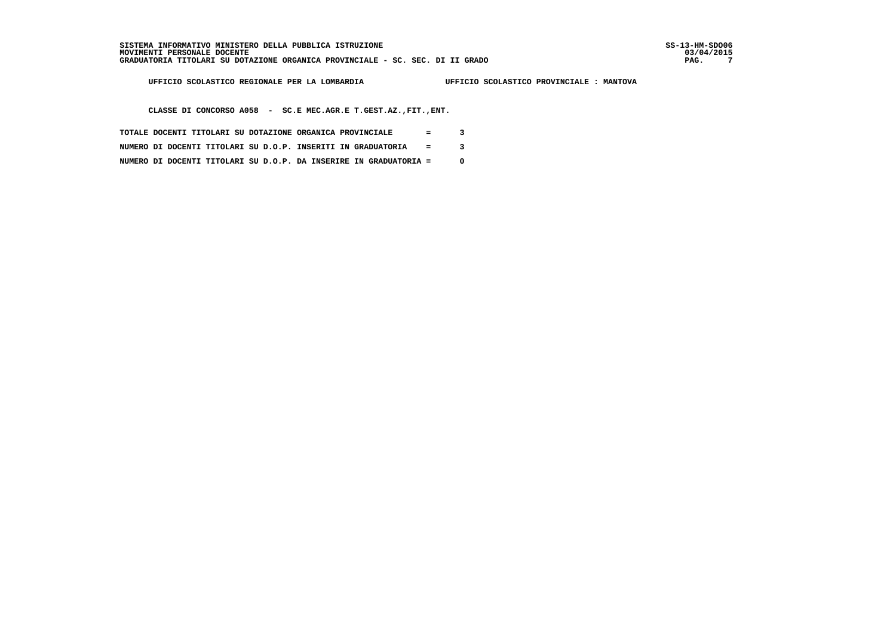**UFFICIO SCOLASTICO REGIONALE PER LA LOMBARDIA UFFICIO SCOLASTICO PROVINCIALE : MANTOVA**

 **CLASSE DI CONCORSO A058 - SC.E MEC.AGR.E T.GEST.AZ.,FIT.,ENT.**

- **TOTALE DOCENTI TITOLARI SU DOTAZIONE ORGANICA PROVINCIALE = 3**
- **NUMERO DI DOCENTI TITOLARI SU D.O.P. INSERITI IN GRADUATORIA = 3**
- **NUMERO DI DOCENTI TITOLARI SU D.O.P. DA INSERIRE IN GRADUATORIA = 0**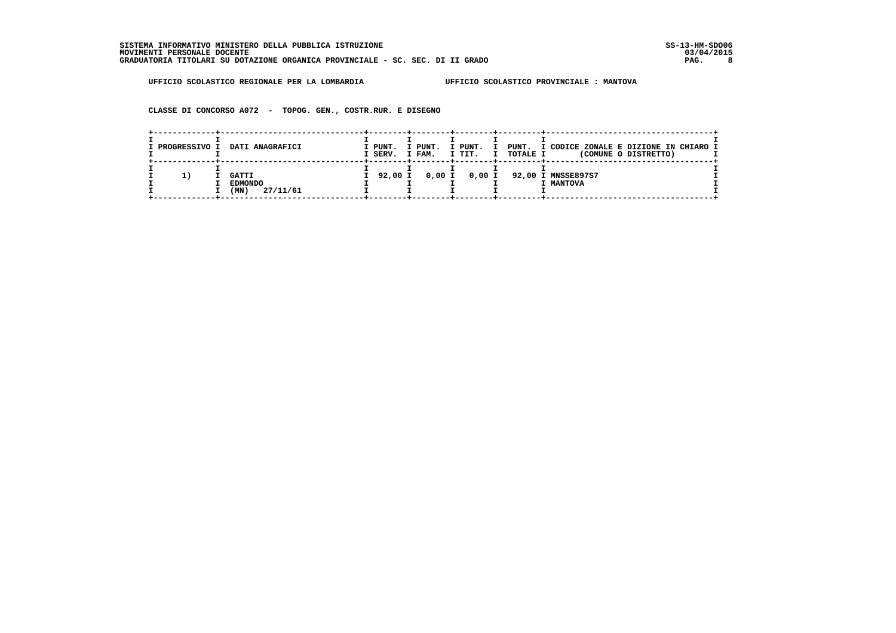**CLASSE DI CONCORSO A072 - TOPOG. GEN., COSTR.RUR. E DISEGNO**

| I PROGRESSIVO I | DATI ANAGRAFICI                                    | I PUNT.<br>I SERV. | I PUNT.<br>I FAM. | I PUNT.<br>— т<br>I TIT. | <b>TOTALE I</b> | PUNT. I CODICE ZONALE E DIZIONE IN CHIARO I<br>(COMUNE O DISTRETTO) |
|-----------------|----------------------------------------------------|--------------------|-------------------|--------------------------|-----------------|---------------------------------------------------------------------|
| 11              | <b>GATTI</b><br><b>EDMONDO</b><br>27/11/61<br>(MN) |                    |                   |                          |                 | I 92,00 I 0,00 I 0,00 I 92,00 I MNSSE897S7<br>I MANTOVA             |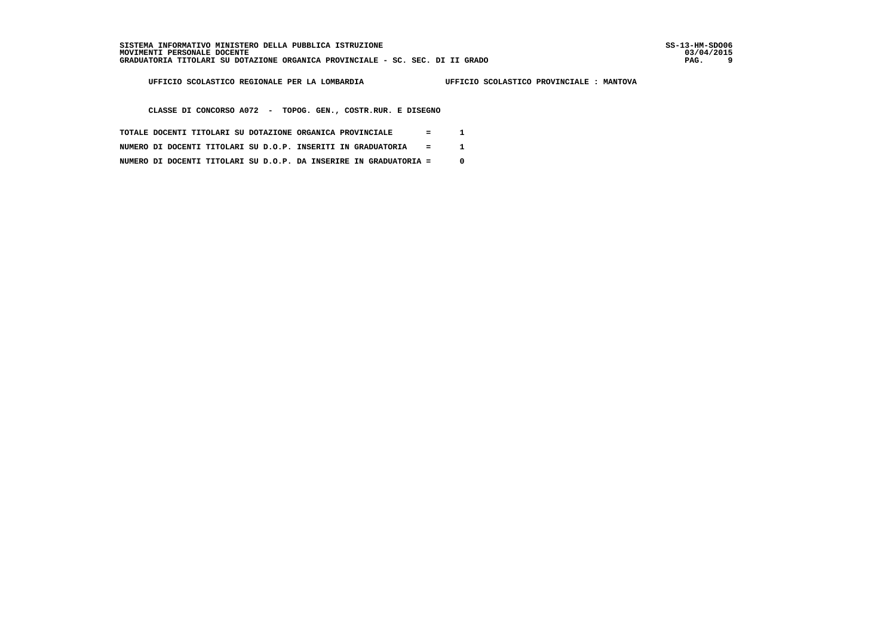i

 **UFFICIO SCOLASTICO REGIONALE PER LA LOMBARDIA UFFICIO SCOLASTICO PROVINCIALE : MANTOVA**

 **CLASSE DI CONCORSO A072 - TOPOG. GEN., COSTR.RUR. E DISEGNO**

- **TOTALE DOCENTI TITOLARI SU DOTAZIONE ORGANICA PROVINCIALE = 1**
- **NUMERO DI DOCENTI TITOLARI SU D.O.P. INSERITI IN GRADUATORIA = 1**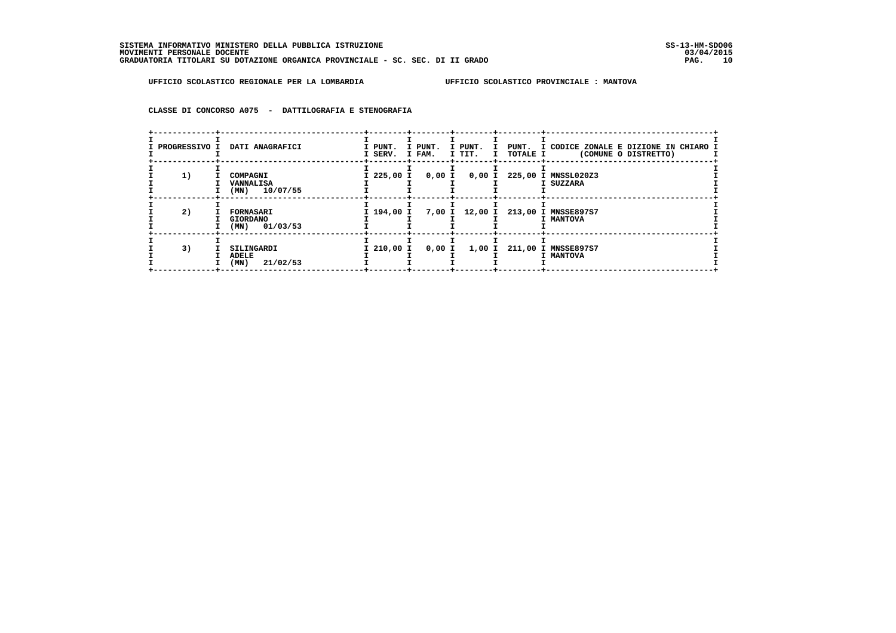**CLASSE DI CONCORSO A075 - DATTILOGRAFIA E STENOGRAFIA**

| <b>PROGRESSIVO I</b> | DATI ANAGRAFICI                                        | I PUNT.<br>I SERV. | I PUNT.<br>I FAM. | I PUNT.<br>I TIT. | I TOTALE I | I PUNT. I CODICE ZONALE E DIZIONE IN CHIARO I<br>(COMUNE O DISTRETTO) |
|----------------------|--------------------------------------------------------|--------------------|-------------------|-------------------|------------|-----------------------------------------------------------------------|
| 1)                   | COMPAGNI<br>VANNALISA<br>$(MN)$ 10/07/55               | I 225,00 I         | 0,00 I            | 0,00 I            |            | 225,00 I MNSSL020Z3<br>I SUZZARA                                      |
| 2)                   | <b>FORNASARI</b><br><b>GIORDANO</b><br>$(MN)$ 01/03/53 | I 194,00 I         |                   |                   |            | 7,00 I 12,00 I 213,00 I MNSSE897S7<br>I MANTOVA                       |
| 3)                   | SILINGARDI<br>ADELE<br>(MN)<br>21/02/53                | I 210,00 I         | 0,00 I            |                   |            | 1,00 I 211,00 I MNSSE897S7<br>I MANTOVA                               |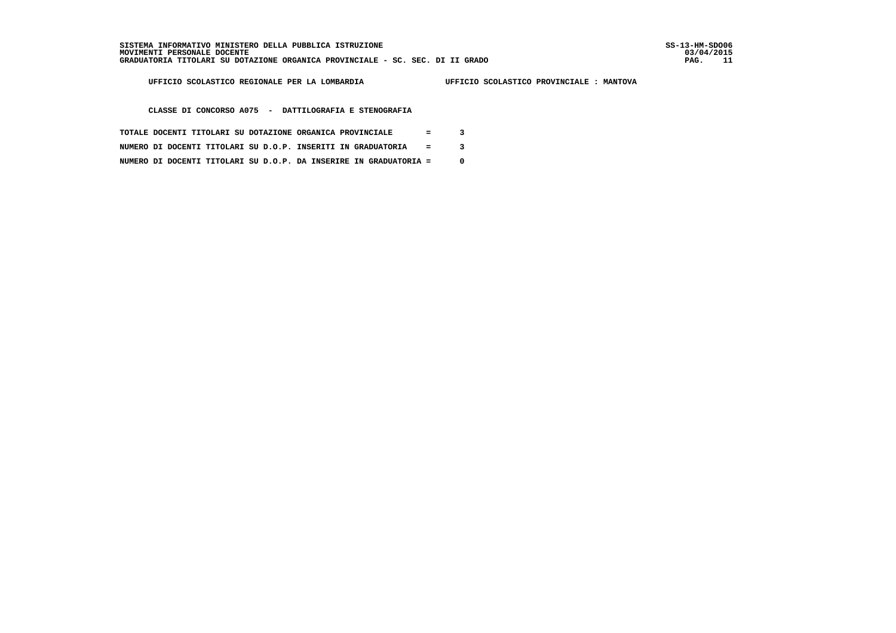03/04/2015 PAG. 11

 **UFFICIO SCOLASTICO REGIONALE PER LA LOMBARDIA UFFICIO SCOLASTICO PROVINCIALE : MANTOVA**

 **CLASSE DI CONCORSO A075 - DATTILOGRAFIA E STENOGRAFIA**

- **TOTALE DOCENTI TITOLARI SU DOTAZIONE ORGANICA PROVINCIALE = 3**
- **NUMERO DI DOCENTI TITOLARI SU D.O.P. INSERITI IN GRADUATORIA = 3**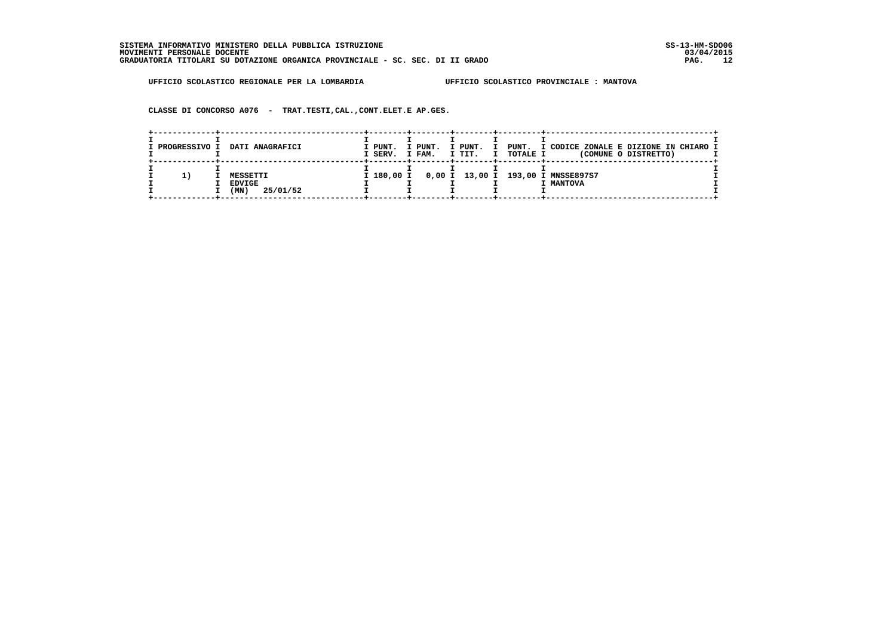**CLASSE DI CONCORSO A076 - TRAT.TESTI,CAL.,CONT.ELET.E AP.GES.**

| I PROGRESSIVO I | DATI ANAGRAFICI                               | I PUNT.<br>I SERV. | I PUNT.<br>I FAM. | I PUNT.<br>$\mathbf{T}$<br>I TIT.<br>$\mathbf I$ | <b>TOTALE I</b> | PUNT. I CODICE ZONALE E DIZIONE IN CHIARO I<br>(COMUNE O DISTRETTO) |
|-----------------|-----------------------------------------------|--------------------|-------------------|--------------------------------------------------|-----------------|---------------------------------------------------------------------|
|                 | MESSETTI<br><b>EDVIGE</b><br>25/01/52<br>(MN) | I 180,00 I         |                   |                                                  |                 | 0,00 I 13,00 I 193,00 I MNSSE897S7<br>I MANTOVA                     |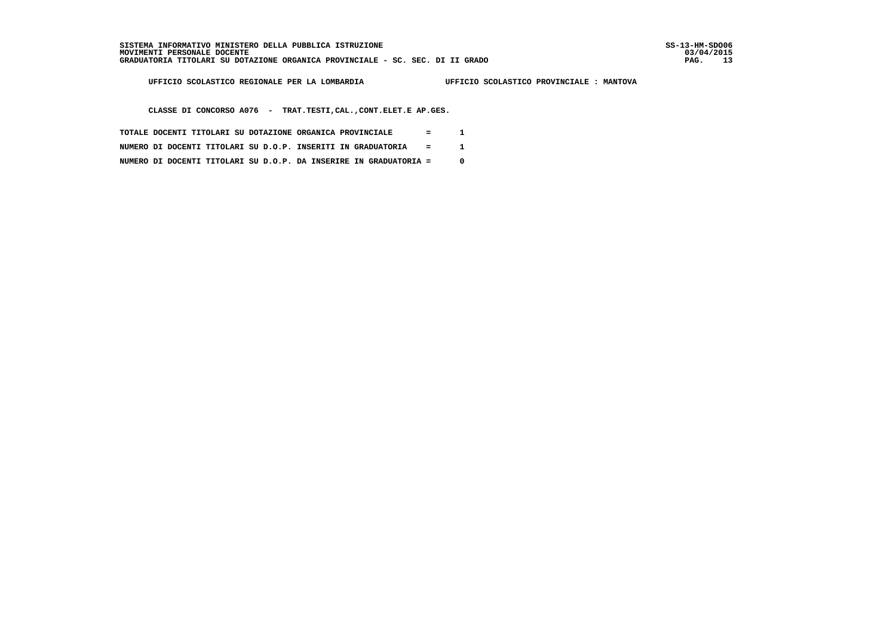03/04/2015 PAG. 13

 **UFFICIO SCOLASTICO REGIONALE PER LA LOMBARDIA UFFICIO SCOLASTICO PROVINCIALE : MANTOVA**

 **CLASSE DI CONCORSO A076 - TRAT.TESTI,CAL.,CONT.ELET.E AP.GES.**

- **TOTALE DOCENTI TITOLARI SU DOTAZIONE ORGANICA PROVINCIALE = 1**
- **NUMERO DI DOCENTI TITOLARI SU D.O.P. INSERITI IN GRADUATORIA = 1**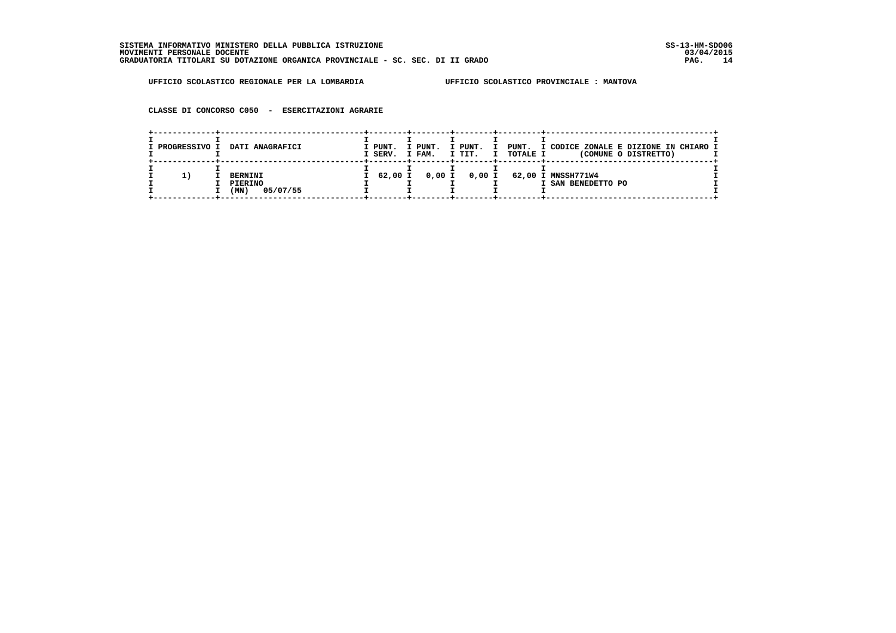**CLASSE DI CONCORSO C050 - ESERCITAZIONI AGRARIE**

| I PROGRESSIVO I | DATI ANAGRAFICI                               | I PUNT.<br>I SERV. | I PUNT.<br>I FAM. | I PUNT.<br>I TIT.<br>$\mathbf I$ | <b>TOTALE I</b> | PUNT. I CODICE ZONALE E DIZIONE IN CHIARO I<br>(COMUNE O DISTRETTO) |
|-----------------|-----------------------------------------------|--------------------|-------------------|----------------------------------|-----------------|---------------------------------------------------------------------|
| 11              | <b>BERNINI</b><br>PIERINO<br>05/07/55<br>(MN) | I 62,00 I          |                   |                                  |                 | 0,00 I 0,00 I 62,00 I MNSSH771W4<br>I SAN BENEDETTO PO              |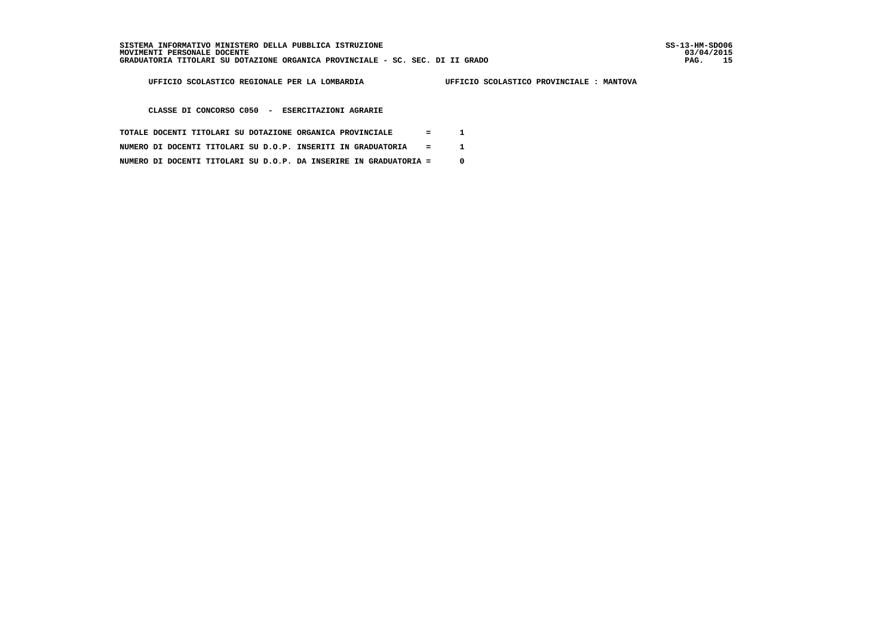03/04/2015 PAG. 15

 **UFFICIO SCOLASTICO REGIONALE PER LA LOMBARDIA UFFICIO SCOLASTICO PROVINCIALE : MANTOVA**

 **CLASSE DI CONCORSO C050 - ESERCITAZIONI AGRARIE**

- **TOTALE DOCENTI TITOLARI SU DOTAZIONE ORGANICA PROVINCIALE = 1**
- **NUMERO DI DOCENTI TITOLARI SU D.O.P. INSERITI IN GRADUATORIA = 1**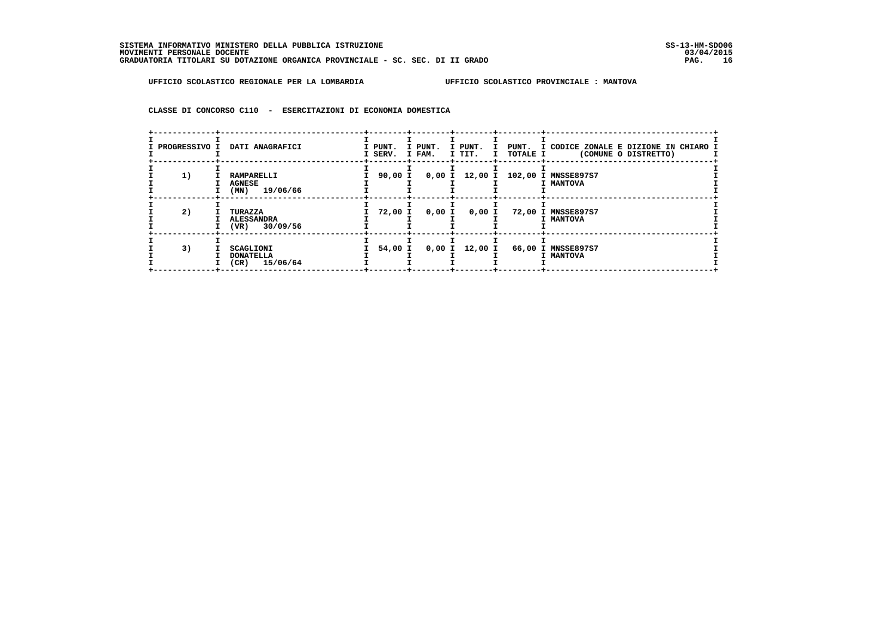**CLASSE DI CONCORSO C110 - ESERCITAZIONI DI ECONOMIA DOMESTICA**

| PROGRESSIVO I | DATI ANAGRAFICI                                  | I PUNT.<br>I SERV. | I PUNT.<br>I FAM. | I PUNT.<br>$\mathbf{I}$<br>I TIT. | I TOTALE I | PUNT. I CODICE ZONALE E DIZIONE IN CHIARO I<br>(COMUNE O DISTRETTO) |
|---------------|--------------------------------------------------|--------------------|-------------------|-----------------------------------|------------|---------------------------------------------------------------------|
| 1)            | RAMPARELLI<br><b>AGNESE</b><br>$(MN)$ 19/06/66   | 90,00 I            |                   |                                   |            | 0,00 I 12,00 I 102,00 I MNSSE897S7<br>I MANTOVA                     |
| 2)            | TURAZZA<br><b>ALESSANDRA</b><br>$(VR)$ 30/09/56  | 72,00 I            | 0,00 I            | 0,00 I                            |            | 72,00 I MNSSE897S7<br>I MANTOVA                                     |
| 3)            | SCAGLIONI<br><b>DONATELLA</b><br>$(CR)$ 15/06/64 | 54,00 I            |                   | $0,00$ I $12,00$ I                |            | 66,00 I MNSSE897S7<br>I MANTOVA                                     |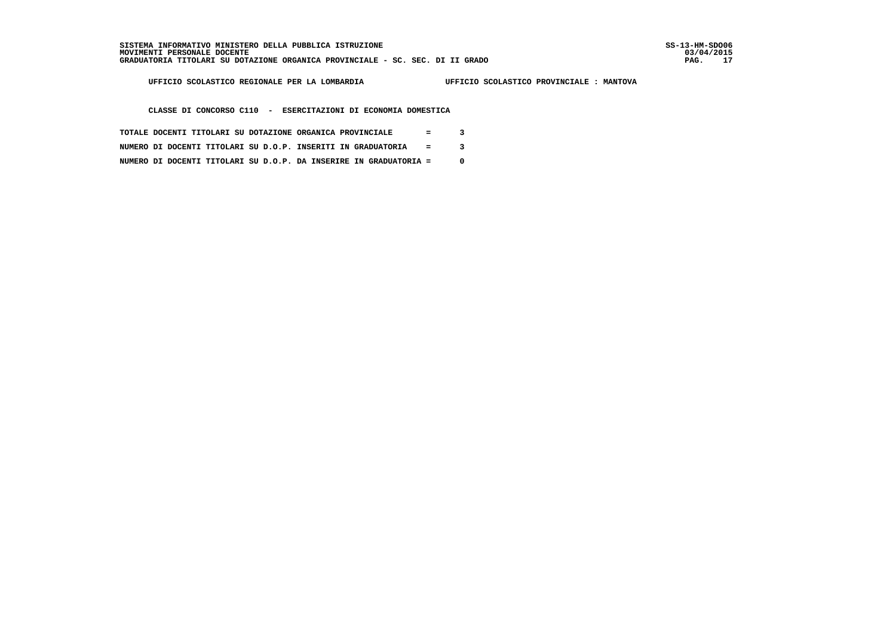í

 **UFFICIO SCOLASTICO REGIONALE PER LA LOMBARDIA UFFICIO SCOLASTICO PROVINCIALE : MANTOVA**

 **CLASSE DI CONCORSO C110 - ESERCITAZIONI DI ECONOMIA DOMESTICA**

- **TOTALE DOCENTI TITOLARI SU DOTAZIONE ORGANICA PROVINCIALE = 3**
- **NUMERO DI DOCENTI TITOLARI SU D.O.P. INSERITI IN GRADUATORIA = 3**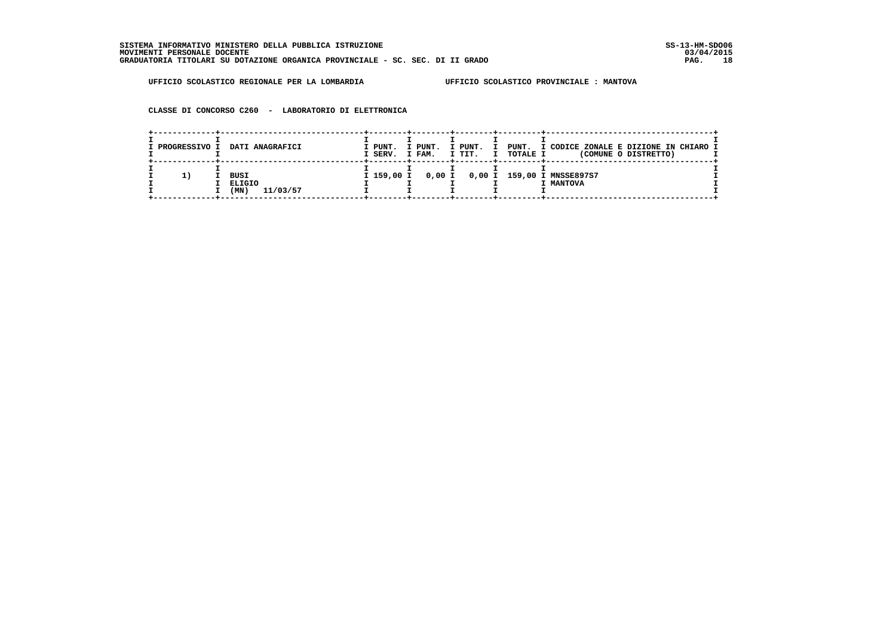**CLASSE DI CONCORSO C260 - LABORATORIO DI ELETTRONICA**

| I PROGRESSIVO I | DATI ANAGRAFICI                           | I PUNT.<br>I SERV. | I PUNT.<br>I FAM. | I PUNT.<br>I TIT.<br>I | <b>TOTALE I</b> | PUNT. I CODICE ZONALE E DIZIONE IN CHIARO I<br>(COMUNE O DISTRETTO) |
|-----------------|-------------------------------------------|--------------------|-------------------|------------------------|-----------------|---------------------------------------------------------------------|
| 11              | <b>BUSI</b><br>ELIGIO<br>11/03/57<br>(MN) | I 159,00 I         |                   |                        |                 | 0,00 I 0,00 I 159,00 I MNSSE897S7<br>I MANTOVA                      |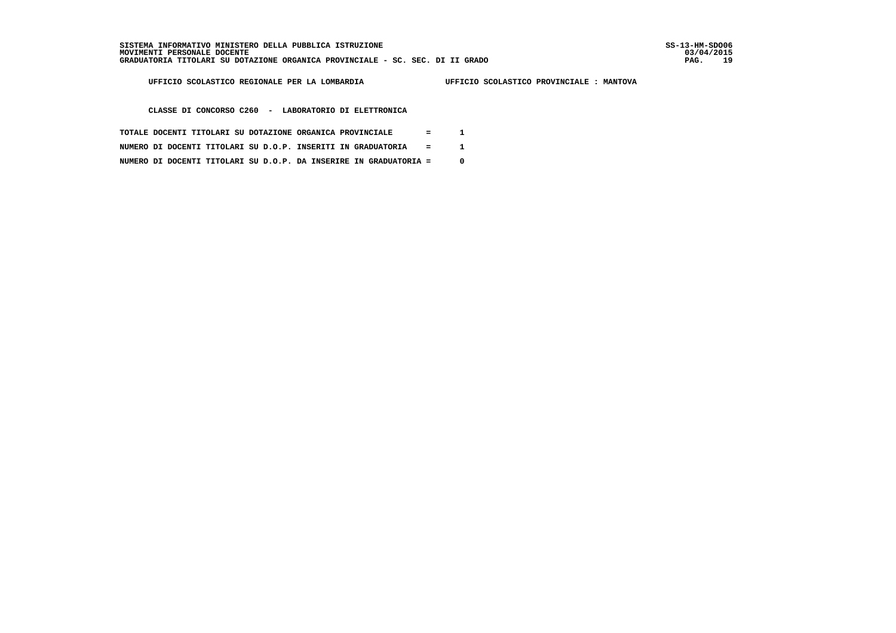i

 **UFFICIO SCOLASTICO REGIONALE PER LA LOMBARDIA UFFICIO SCOLASTICO PROVINCIALE : MANTOVA**

 **CLASSE DI CONCORSO C260 - LABORATORIO DI ELETTRONICA**

- **TOTALE DOCENTI TITOLARI SU DOTAZIONE ORGANICA PROVINCIALE = 1**
- **NUMERO DI DOCENTI TITOLARI SU D.O.P. INSERITI IN GRADUATORIA = 1**
- **NUMERO DI DOCENTI TITOLARI SU D.O.P. DA INSERIRE IN GRADUATORIA = 0**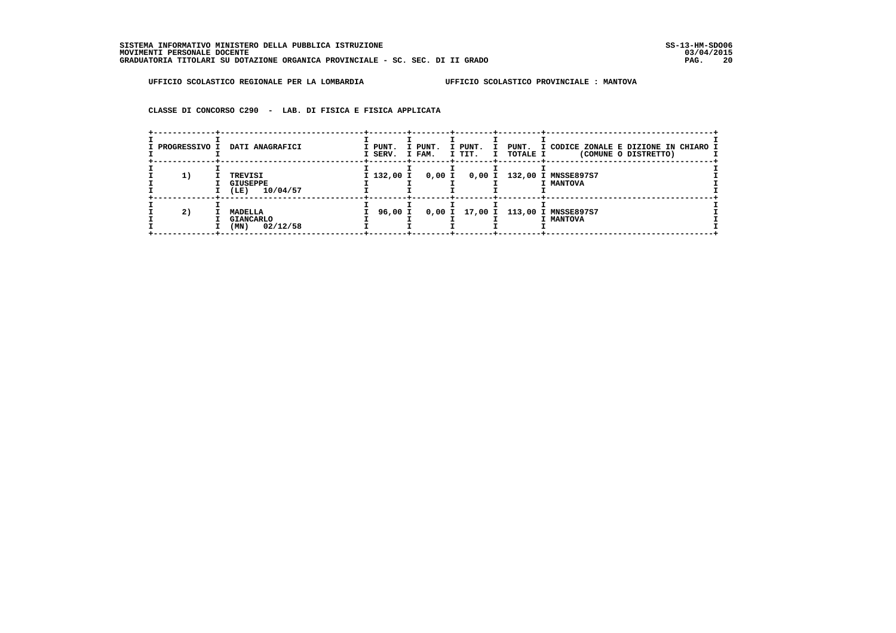**CLASSE DI CONCORSO C290 - LAB. DI FISICA E FISICA APPLICATA**

| I PROGRESSIVO I | DATI ANAGRAFICI                                        | I PUNT.<br>I SERV. | I PUNT.<br>I FAM. | -+--------+---------+-------+-----<br>I PUNT.<br>$\mathbf{I}$ | I TIT. I TOTALE I | PUNT. I CODICE ZONALE E DIZIONE IN CHIARO I<br>(COMUNE O DISTRETTO) |
|-----------------|--------------------------------------------------------|--------------------|-------------------|---------------------------------------------------------------|-------------------|---------------------------------------------------------------------|
| 1)              | TREVISI<br><b>GIUSEPPE</b><br>10/04/57<br>(LE)         | I 132,00 I         | 0,00 I            |                                                               |                   | 0,00 I 132,00 I MNSSE897S7<br>I MANTOVA                             |
| 2)              | <b>MADELLA</b><br><b>GIANCARLO</b><br>02/12/58<br>(MN) | 96,00 I            |                   |                                                               |                   | 0,00 I 17,00 I 113,00 I MNSSE897S7<br>I MANTOVA                     |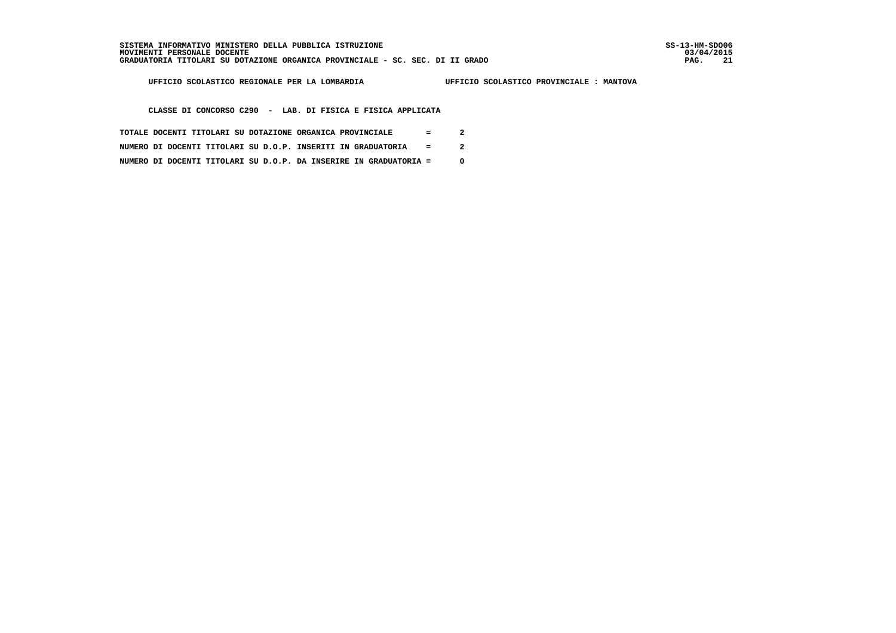03/04/2015 PAG. 21

 **UFFICIO SCOLASTICO REGIONALE PER LA LOMBARDIA UFFICIO SCOLASTICO PROVINCIALE : MANTOVA**

 **CLASSE DI CONCORSO C290 - LAB. DI FISICA E FISICA APPLICATA**

- **TOTALE DOCENTI TITOLARI SU DOTAZIONE ORGANICA PROVINCIALE = 2**
- **NUMERO DI DOCENTI TITOLARI SU D.O.P. INSERITI IN GRADUATORIA = 2**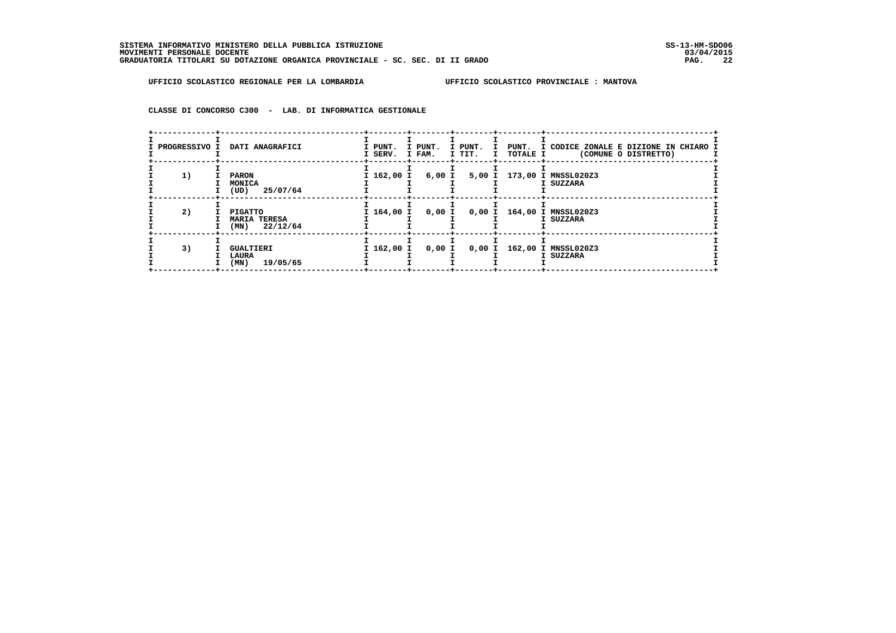**CLASSE DI CONCORSO C300 - LAB. DI INFORMATICA GESTIONALE**

| <b>PROGRESSIVO I</b> | DATI ANAGRAFICI                                   | I PUNT.<br>I SERV. | I PUNT.<br>I FAM. | I PUNT.<br>I TIT. | I TOTALE I | I PUNT. I CODICE ZONALE E DIZIONE IN CHIARO I<br>(COMUNE O DISTRETTO) |
|----------------------|---------------------------------------------------|--------------------|-------------------|-------------------|------------|-----------------------------------------------------------------------|
| 1)                   | <b>PARON</b><br>MONICA<br>(UD)<br>25/07/64        | I 162,00 I         |                   |                   |            | 6,00 I 5,00 I 173,00 I MNSSL020Z3<br>I SUZZARA                        |
| 2)                   | PIGATTO<br><b>MARIA TERESA</b><br>$(MN)$ 22/12/64 | I 164,00 I         | 0,00 I            |                   |            | 0,00 I 164,00 I MNSSL020Z3<br>I SUZZARA                               |
| 3)                   | <b>GUALTIERI</b><br>LAURA<br>19/05/65<br>(MN)     | I 162,00 I         | 0,00 I            |                   |            | 0,00 I 162,00 I MNSSL020Z3<br>I SUZZARA                               |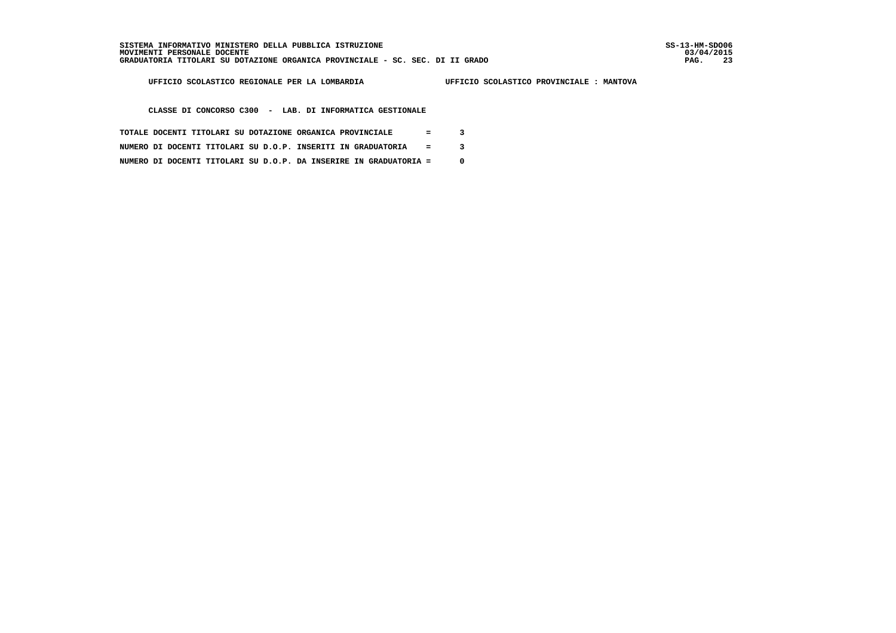j

 **UFFICIO SCOLASTICO REGIONALE PER LA LOMBARDIA UFFICIO SCOLASTICO PROVINCIALE : MANTOVA**

 **CLASSE DI CONCORSO C300 - LAB. DI INFORMATICA GESTIONALE**

- **TOTALE DOCENTI TITOLARI SU DOTAZIONE ORGANICA PROVINCIALE = 3**
- **NUMERO DI DOCENTI TITOLARI SU D.O.P. INSERITI IN GRADUATORIA = 3**
- **NUMERO DI DOCENTI TITOLARI SU D.O.P. DA INSERIRE IN GRADUATORIA = 0**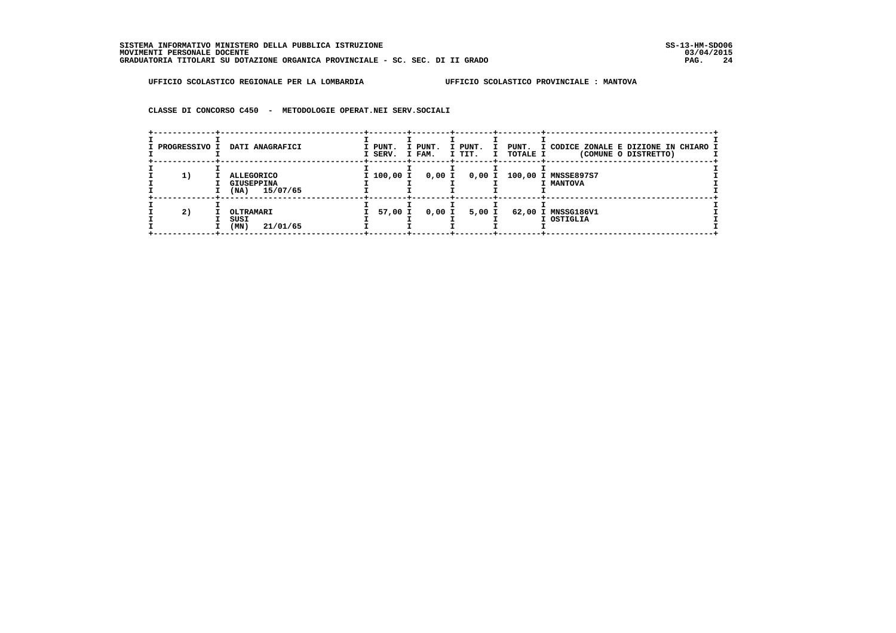**CLASSE DI CONCORSO C450 - METODOLOGIE OPERAT.NEI SERV.SOCIALI**

| I PROGRESSIVO I | DATI ANAGRAFICI                                     | I PUNT.<br>I SERV. I FAM. | I PUNT. | I PUNT.<br>I | I TIT. I TOTALE I | PUNT. I CODICE ZONALE E DIZIONE IN CHIARO I<br>(COMUNE O DISTRETTO) |
|-----------------|-----------------------------------------------------|---------------------------|---------|--------------|-------------------|---------------------------------------------------------------------|
| 1)              | ALLEGORICO<br><b>GIUSEPPINA</b><br>15/07/65<br>(NA) | I 100,00 I                | 0,00 I  | 0,00 I       |                   | 100,00 I MNSSE897S7<br>I MANTOVA                                    |
| 2)              | OLTRAMARI<br>SUSI<br>(MN)<br>21/01/65               | 57,00 I                   | 0,00 I  | 5,00 I       |                   | 62,00 I MNSSG186V1<br>I OSTIGLIA                                    |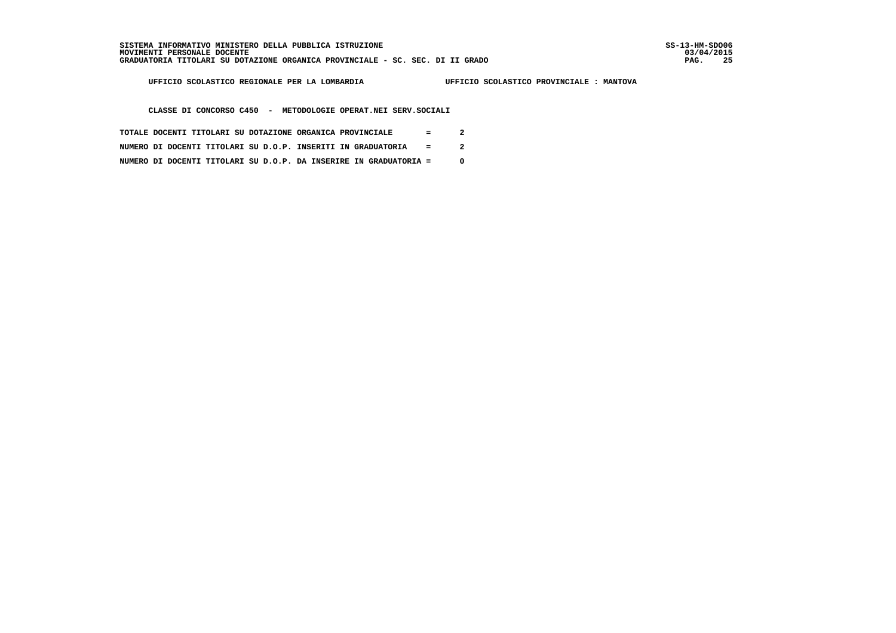03/04/2015 PAG. 25

 **UFFICIO SCOLASTICO REGIONALE PER LA LOMBARDIA UFFICIO SCOLASTICO PROVINCIALE : MANTOVA**

 **CLASSE DI CONCORSO C450 - METODOLOGIE OPERAT.NEI SERV.SOCIALI**

- **TOTALE DOCENTI TITOLARI SU DOTAZIONE ORGANICA PROVINCIALE = 2**
- **NUMERO DI DOCENTI TITOLARI SU D.O.P. INSERITI IN GRADUATORIA = 2**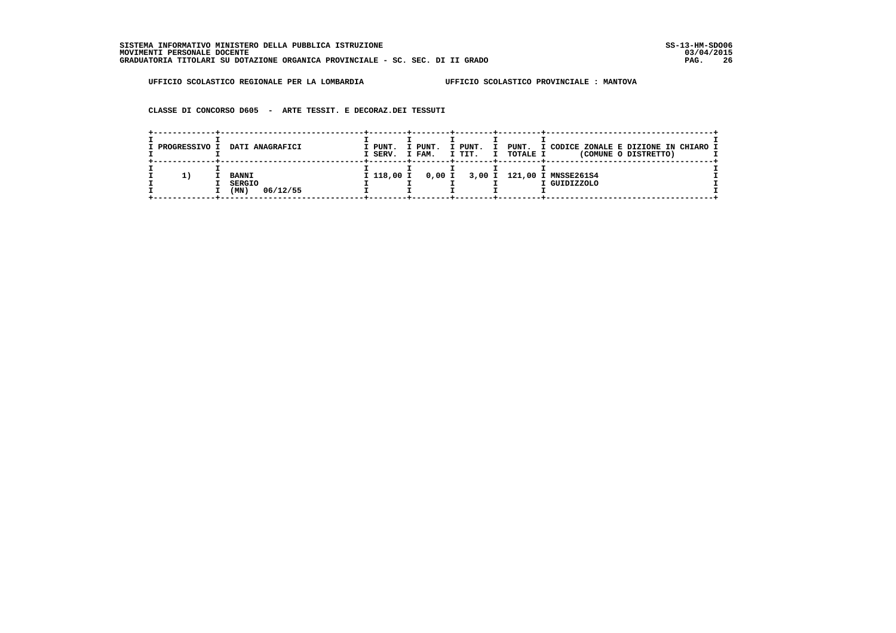**CLASSE DI CONCORSO D605 - ARTE TESSIT. E DECORAZ.DEI TESSUTI**

| I PROGRESSIVO I | DATI ANAGRAFICI                                   | I PUNT.<br>I SERV. | I PUNT.<br>I FAM. | I PUNT.<br>. т<br>I TIT.<br>$\mathbf I$ | <b>TOTALE I</b> | PUNT. I CODICE ZONALE E DIZIONE IN CHIARO I<br>(COMUNE O DISTRETTO) |
|-----------------|---------------------------------------------------|--------------------|-------------------|-----------------------------------------|-----------------|---------------------------------------------------------------------|
| 11              | <b>BANNI</b><br><b>SERGIO</b><br>06/12/55<br>(MN) | I 118,00 I         |                   |                                         |                 | 0,00 I 3,00 I 121,00 I MNSSE261S4<br>I GUIDIZZOLO                   |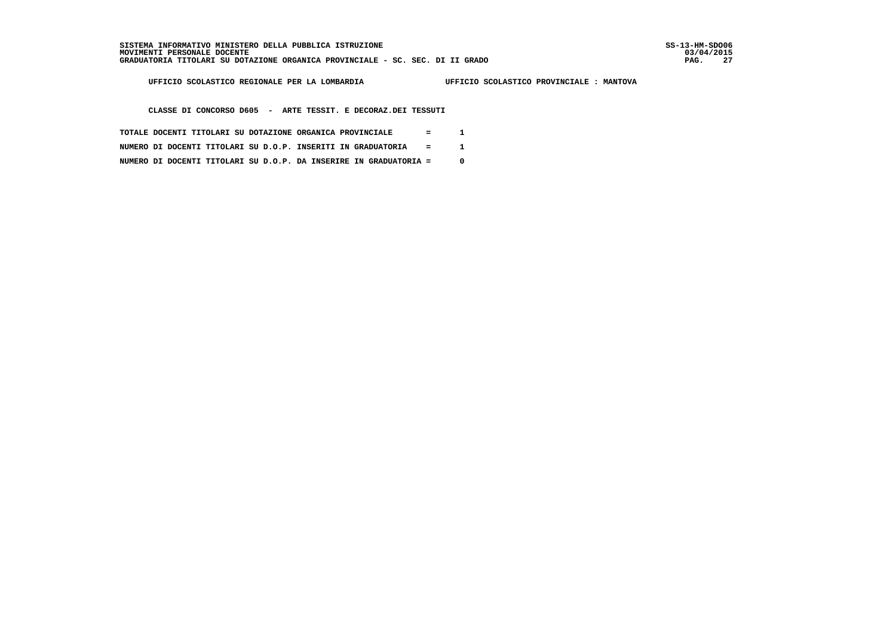03/04/2015 PAG. 27

 **UFFICIO SCOLASTICO REGIONALE PER LA LOMBARDIA UFFICIO SCOLASTICO PROVINCIALE : MANTOVA**

 **CLASSE DI CONCORSO D605 - ARTE TESSIT. E DECORAZ.DEI TESSUTI**

- **TOTALE DOCENTI TITOLARI SU DOTAZIONE ORGANICA PROVINCIALE = 1**
- **NUMERO DI DOCENTI TITOLARI SU D.O.P. INSERITI IN GRADUATORIA = 1**
- **NUMERO DI DOCENTI TITOLARI SU D.O.P. DA INSERIRE IN GRADUATORIA = 0**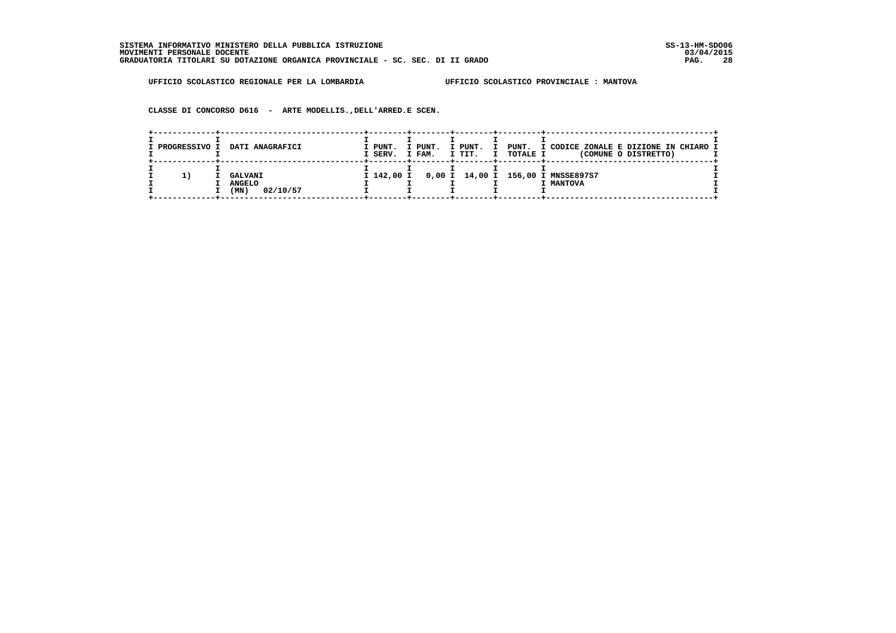**CLASSE DI CONCORSO D616 - ARTE MODELLIS.,DELL'ARRED.E SCEN.**

| I PROGRESSIVO I | DATI ANAGRAFICI                                     | I PUNT.<br>I SERV. | I PUNT.<br>I FAM. | I PUNT.<br>I TIT. | <b>TOTALE I</b><br>I | PUNT. I CODICE ZONALE E DIZIONE IN CHIARO I<br>(COMUNE O DISTRETTO) |
|-----------------|-----------------------------------------------------|--------------------|-------------------|-------------------|----------------------|---------------------------------------------------------------------|
| ı.              | <b>GALVANI</b><br><b>ANGELO</b><br>02/10/57<br>(MN) |                    |                   |                   |                      | I 142,00 I 0,00 I 14,00 I 156,00 I MNSSE897S7<br>I MANTOVA          |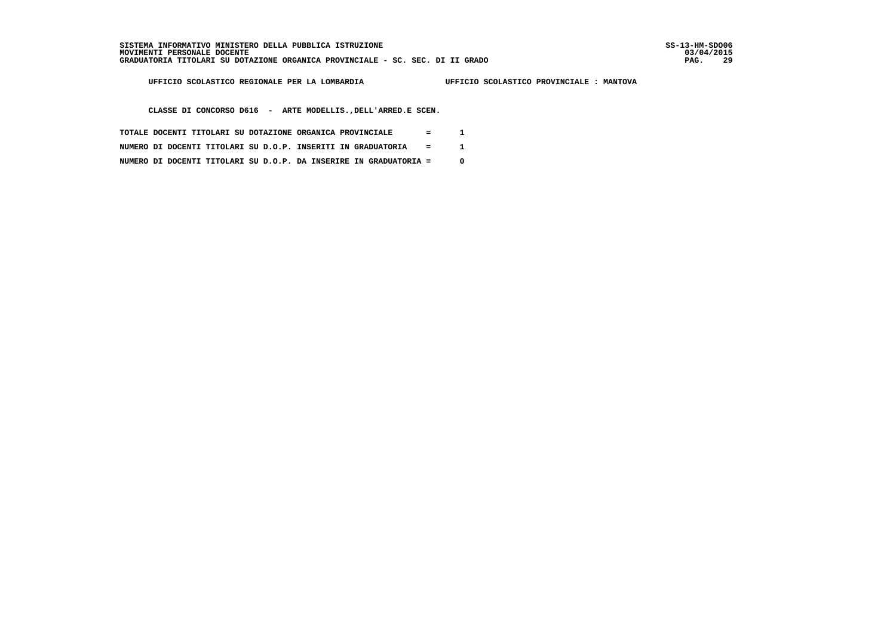03/04/2015 PAG. 29

 **UFFICIO SCOLASTICO REGIONALE PER LA LOMBARDIA UFFICIO SCOLASTICO PROVINCIALE : MANTOVA**

 **CLASSE DI CONCORSO D616 - ARTE MODELLIS.,DELL'ARRED.E SCEN.**

- **TOTALE DOCENTI TITOLARI SU DOTAZIONE ORGANICA PROVINCIALE = 1**
- **NUMERO DI DOCENTI TITOLARI SU D.O.P. INSERITI IN GRADUATORIA = 1**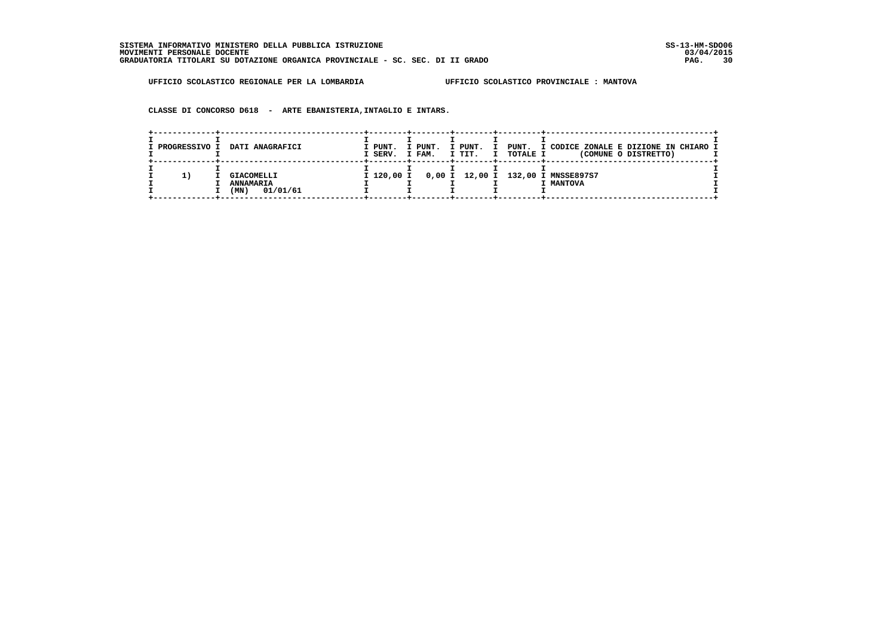**CLASSE DI CONCORSO D618 - ARTE EBANISTERIA,INTAGLIO E INTARS.**

| I PROGRESSIVO I | <b>DATI ANAGRAFICI</b>                                    | I PUNT.<br>I SERV. | I PUNT.<br>I FAM. | I PUNT.<br>T<br>I TIT. | <b>TOTALE I</b><br>I | PUNT. I CODICE ZONALE E DIZIONE IN CHIARO I<br>(COMUNE O DISTRETTO) |
|-----------------|-----------------------------------------------------------|--------------------|-------------------|------------------------|----------------------|---------------------------------------------------------------------|
| 11              | <b>GIACOMELLI</b><br><b>ANNAMARIA</b><br>01/01/61<br>(MN) |                    |                   |                        |                      | I 120,00 I 0,00 I 12,00 I 132,00 I MNSSE897S7<br>I MANTOVA          |